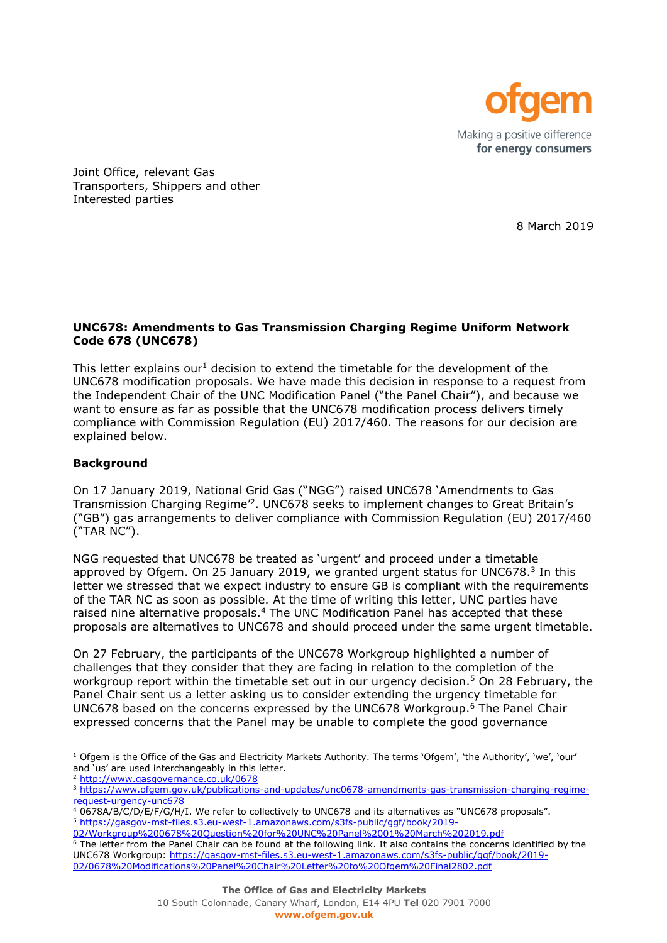

Joint Office, relevant Gas Transporters, Shippers and other Interested parties

8 March 2019

## **UNC678: Amendments to Gas Transmission Charging Regime Uniform Network Code 678 (UNC678)**

This letter explains our<sup>1</sup> decision to extend the timetable for the development of the UNC678 modification proposals. We have made this decision in response to a request from the Independent Chair of the UNC Modification Panel ("the Panel Chair"), and because we want to ensure as far as possible that the UNC678 modification process delivers timely compliance with Commission Regulation (EU) 2017/460. The reasons for our decision are explained below.

## **Background**

l

On 17 January 2019, National Grid Gas ("NGG") raised UNC678 'Amendments to Gas Transmission Charging Regime<sup>'2</sup>. UNC678 seeks to implement changes to Great Britain's ("GB") gas arrangements to deliver compliance with Commission Regulation (EU) 2017/460 ("TAR NC").

NGG requested that UNC678 be treated as 'urgent' and proceed under a timetable approved by Ofgem. On 25 January 2019, we granted urgent status for UNC678. $3$  In this letter we stressed that we expect industry to ensure GB is compliant with the requirements of the TAR NC as soon as possible. At the time of writing this letter, UNC parties have raised nine alternative proposals.<sup>4</sup> The UNC Modification Panel has accepted that these proposals are alternatives to UNC678 and should proceed under the same urgent timetable.

On 27 February, the participants of the UNC678 Workgroup highlighted a number of challenges that they consider that they are facing in relation to the completion of the workgroup report within the timetable set out in our urgency decision.<sup>5</sup> On 28 February, the Panel Chair sent us a letter asking us to consider extending the urgency timetable for UNC678 based on the concerns expressed by the UNC678 Workgroup. <sup>6</sup> The Panel Chair expressed concerns that the Panel may be unable to complete the good governance

 $1$  Ofgem is the Office of the Gas and Electricity Markets Authority. The terms 'Ofgem', 'the Authority', 'we', 'our' and us' are used interchangeably in this letter.

<sup>2</sup> <http://www.gasgovernance.co.uk/0678>

<sup>&</sup>lt;sup>3</sup> [https://www.ofgem.gov.uk/publications-and-updates/unc0678-amendments-gas-transmission-charging-regime](https://www.ofgem.gov.uk/publications-and-updates/unc0678-amendments-gas-transmission-charging-regime-request-urgency-unc678)[request-urgency-unc678](https://www.ofgem.gov.uk/publications-and-updates/unc0678-amendments-gas-transmission-charging-regime-request-urgency-unc678)

<sup>4</sup> 0678A/B/C/D/E/F/G/H/I. We refer to collectively to UNC678 and its alternatives as "UNC678 proposals". <sup>5</sup> [https://gasgov-mst-files.s3.eu-west-1.amazonaws.com/s3fs-public/ggf/book/2019-](https://gasgov-mst-files.s3.eu-west-1.amazonaws.com/s3fs-public/ggf/book/2019-02/Workgroup%200678%20Question%20for%20UNC%20Panel%2001%20March%202019.pdf)

[<sup>02/</sup>Workgroup%200678%20Question%20for%20UNC%20Panel%2001%20March%202019.pdf](https://gasgov-mst-files.s3.eu-west-1.amazonaws.com/s3fs-public/ggf/book/2019-02/Workgroup%200678%20Question%20for%20UNC%20Panel%2001%20March%202019.pdf)

<sup>&</sup>lt;sup>6</sup> The letter from the Panel Chair can be found at the following link. It also contains the concerns identified by the UNC678 Workgroup: [https://gasgov-mst-files.s3.eu-west-1.amazonaws.com/s3fs-public/ggf/book/2019-](https://gasgov-mst-files.s3.eu-west-1.amazonaws.com/s3fs-public/ggf/book/2019-02/0678%20Modifications%20Panel%20Chair%20Letter%20to%20Ofgem%20Final2802.pdf) [02/0678%20Modifications%20Panel%20Chair%20Letter%20to%20Ofgem%20Final2802.pdf](https://gasgov-mst-files.s3.eu-west-1.amazonaws.com/s3fs-public/ggf/book/2019-02/0678%20Modifications%20Panel%20Chair%20Letter%20to%20Ofgem%20Final2802.pdf)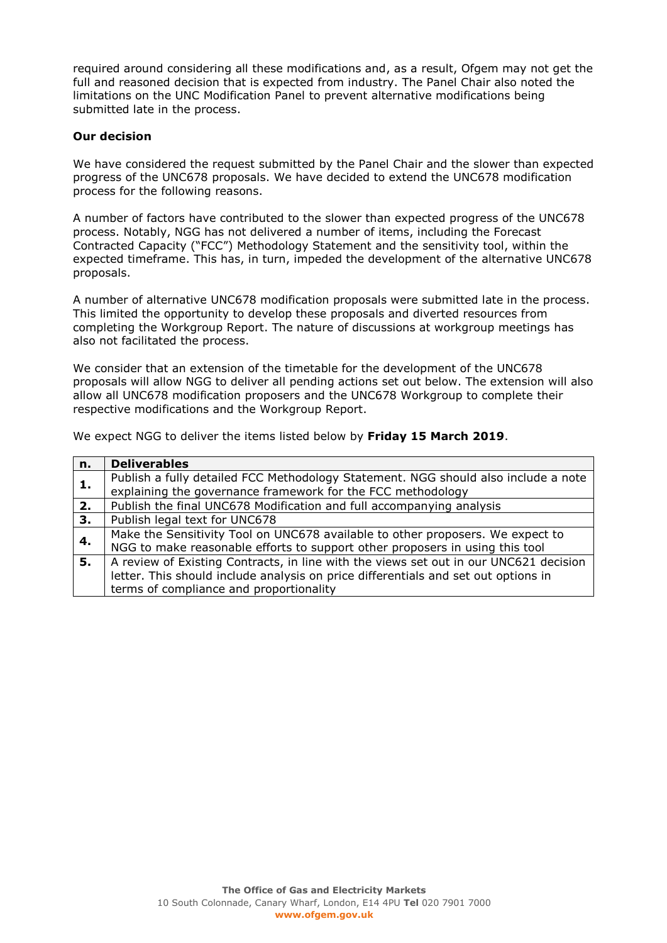required around considering all these modifications and, as a result, Ofgem may not get the full and reasoned decision that is expected from industry. The Panel Chair also noted the limitations on the UNC Modification Panel to prevent alternative modifications being submitted late in the process.

## **Our decision**

We have considered the request submitted by the Panel Chair and the slower than expected progress of the UNC678 proposals. We have decided to extend the UNC678 modification process for the following reasons.

A number of factors have contributed to the slower than expected progress of the UNC678 process. Notably, NGG has not delivered a number of items, including the Forecast Contracted Capacity ("FCC") Methodology Statement and the sensitivity tool, within the expected timeframe. This has, in turn, impeded the development of the alternative UNC678 proposals.

A number of alternative UNC678 modification proposals were submitted late in the process. This limited the opportunity to develop these proposals and diverted resources from completing the Workgroup Report. The nature of discussions at workgroup meetings has also not facilitated the process.

We consider that an extension of the timetable for the development of the UNC678 proposals will allow NGG to deliver all pending actions set out below. The extension will also allow all UNC678 modification proposers and the UNC678 Workgroup to complete their respective modifications and the Workgroup Report.

We expect NGG to deliver the items listed below by **Friday 15 March 2019**.

| n. | <b>Deliverables</b>                                                                   |  |
|----|---------------------------------------------------------------------------------------|--|
| 1. | Publish a fully detailed FCC Methodology Statement. NGG should also include a note    |  |
|    | explaining the governance framework for the FCC methodology                           |  |
| 2. | Publish the final UNC678 Modification and full accompanying analysis                  |  |
| 3. | Publish legal text for UNC678                                                         |  |
| 4. | Make the Sensitivity Tool on UNC678 available to other proposers. We expect to        |  |
|    | NGG to make reasonable efforts to support other proposers in using this tool          |  |
| 5. | A review of Existing Contracts, in line with the views set out in our UNC621 decision |  |
|    | letter. This should include analysis on price differentials and set out options in    |  |
|    | terms of compliance and proportionality                                               |  |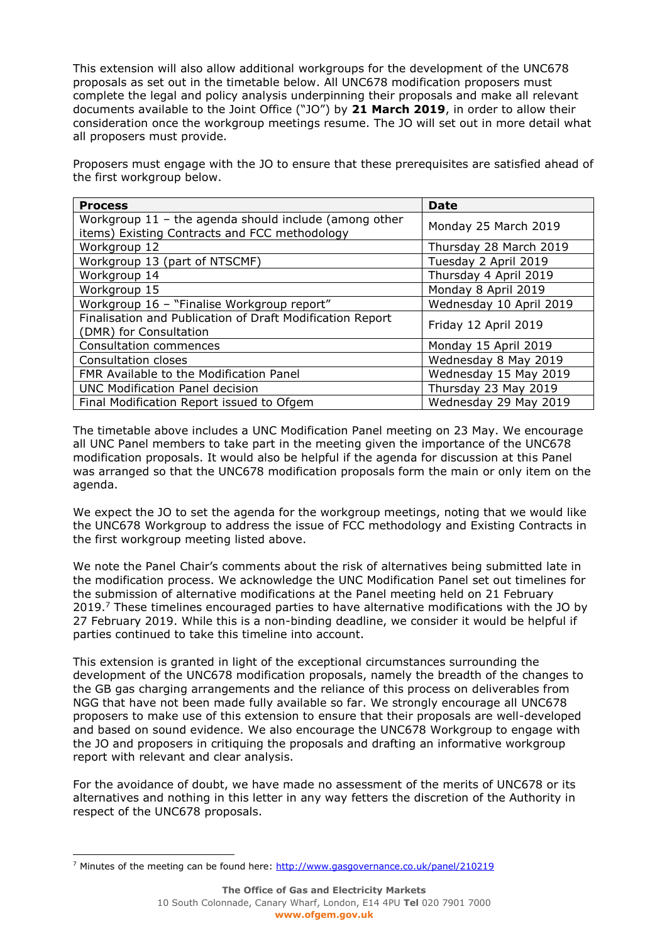This extension will also allow additional workgroups for the development of the UNC678 proposals as set out in the timetable below. All UNC678 modification proposers must complete the legal and policy analysis underpinning their proposals and make all relevant documents available to the Joint Office ("JO") by **21 March 2019**, in order to allow their consideration once the workgroup meetings resume. The JO will set out in more detail what all proposers must provide.

Proposers must engage with the JO to ensure that these prerequisites are satisfied ahead of the first workgroup below.

| <b>Process</b>                                                                                           | <b>Date</b>             |
|----------------------------------------------------------------------------------------------------------|-------------------------|
| Workgroup $11$ - the agenda should include (among other<br>items) Existing Contracts and FCC methodology | Monday 25 March 2019    |
| Workgroup 12                                                                                             | Thursday 28 March 2019  |
| Workgroup 13 (part of NTSCMF)                                                                            | Tuesday 2 April 2019    |
| Workgroup 14                                                                                             | Thursday 4 April 2019   |
| Workgroup 15                                                                                             | Monday 8 April 2019     |
| Workgroup 16 - "Finalise Workgroup report"                                                               | Wednesday 10 April 2019 |
| Finalisation and Publication of Draft Modification Report<br>(DMR) for Consultation                      | Friday 12 April 2019    |
| <b>Consultation commences</b>                                                                            | Monday 15 April 2019    |
| Consultation closes                                                                                      | Wednesday 8 May 2019    |
| FMR Available to the Modification Panel                                                                  | Wednesday 15 May 2019   |
| <b>UNC Modification Panel decision</b>                                                                   | Thursday 23 May 2019    |
| Final Modification Report issued to Ofgem                                                                | Wednesday 29 May 2019   |

The timetable above includes a UNC Modification Panel meeting on 23 May. We encourage all UNC Panel members to take part in the meeting given the importance of the UNC678 modification proposals. It would also be helpful if the agenda for discussion at this Panel was arranged so that the UNC678 modification proposals form the main or only item on the agenda.

We expect the JO to set the agenda for the workgroup meetings, noting that we would like the UNC678 Workgroup to address the issue of FCC methodology and Existing Contracts in the first workgroup meeting listed above.

We note the Panel Chair's comments about the risk of alternatives being submitted late in the modification process. We acknowledge the UNC Modification Panel set out timelines for the submission of alternative modifications at the Panel meeting held on 21 February 2019.<sup>7</sup> These timelines encouraged parties to have alternative modifications with the JO by 27 February 2019. While this is a non-binding deadline, we consider it would be helpful if parties continued to take this timeline into account.

This extension is granted in light of the exceptional circumstances surrounding the development of the UNC678 modification proposals, namely the breadth of the changes to the GB gas charging arrangements and the reliance of this process on deliverables from NGG that have not been made fully available so far. We strongly encourage all UNC678 proposers to make use of this extension to ensure that their proposals are well-developed and based on sound evidence. We also encourage the UNC678 Workgroup to engage with the JO and proposers in critiquing the proposals and drafting an informative workgroup report with relevant and clear analysis.

For the avoidance of doubt, we have made no assessment of the merits of UNC678 or its alternatives and nothing in this letter in any way fetters the discretion of the Authority in respect of the UNC678 proposals.

j. <sup>7</sup> Minutes of the meeting can be found here:<http://www.gasgovernance.co.uk/panel/210219>